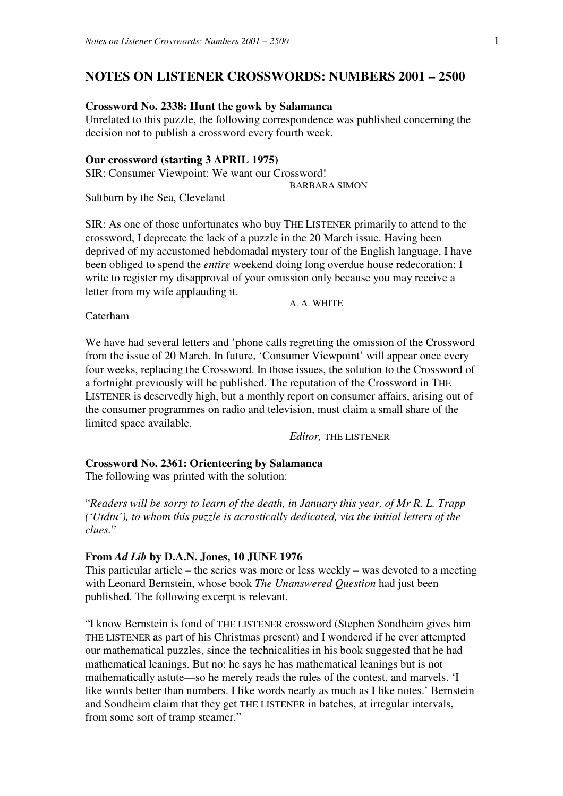# **NOTES ON LISTENER CROSSWORDS: NUMBERS 2001 – 2500**

# **Crossword No. 2338: Hunt the gowk by Salamanca**

Unrelated to this puzzle, the following correspondence was published concerning the decision not to publish a crossword every fourth week.

### **Our crossword (starting 3 APRIL 1975)**

SIR: Consumer Viewpoint: We want our Crossword! BARBARA SIMON

Saltburn by the Sea, Cleveland

SIR: As one of those unfortunates who buy THE LISTENER primarily to attend to the crossword, I deprecate the lack of a puzzle in the 20 March issue. Having been deprived of my accustomed hebdomadal mystery tour of the English language, I have been obliged to spend the *entire* weekend doing long overdue house redecoration: I write to register my disapproval of your omission only because you may receive a letter from my wife applauding it.

A. A. WHITE

Caterham

We have had several letters and 'phone calls regretting the omission of the Crossword from the issue of 20 March. In future, 'Consumer Viewpoint' will appear once every four weeks, replacing the Crossword. In those issues, the solution to the Crossword of a fortnight previously will be published. The reputation of the Crossword in THE LISTENER is deservedly high, but a monthly report on consumer affairs, arising out of the consumer programmes on radio and television, must claim a small share of the limited space available.

*Editor,* THE LISTENER

# **Crossword No. 2361: Orienteering by Salamanca**

The following was printed with the solution:

"*Readers will be sorry to learn of the death, in January this year, of Mr R. L. Trapp ('Utdtu'), to whom this puzzle is acrostically dedicated, via the initial letters of the clues.*"

#### **From** *Ad Lib* **by D.A.N. Jones, 10 JUNE 1976**

This particular article – the series was more or less weekly – was devoted to a meeting with Leonard Bernstein, whose book *The Unanswered Question* had just been published. The following excerpt is relevant.

"I know Bernstein is fond of THE LISTENER crossword (Stephen Sondheim gives him THE LISTENER as part of his Christmas present) and I wondered if he ever attempted our mathematical puzzles, since the technicalities in his book suggested that he had mathematical leanings. But no: he says he has mathematical leanings but is not mathematically astute—so he merely reads the rules of the contest, and marvels. 'I like words better than numbers. I like words nearly as much as I like notes.' Bernstein and Sondheim claim that they get THE LISTENER in batches, at irregular intervals, from some sort of tramp steamer."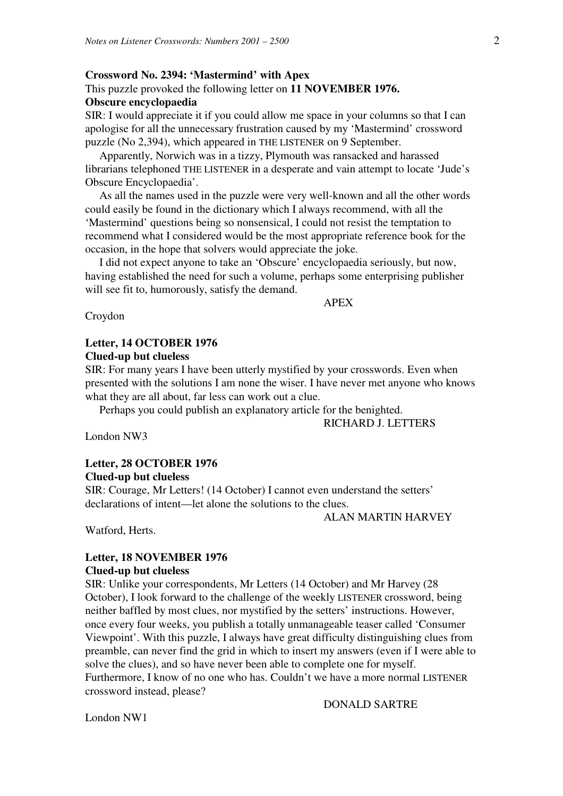#### **Crossword No. 2394: 'Mastermind' with Apex**

# This puzzle provoked the following letter on **11 NOVEMBER 1976.**

# **Obscure encyclopaedia**

SIR: I would appreciate it if you could allow me space in your columns so that I can apologise for all the unnecessary frustration caused by my 'Mastermind' crossword puzzle (No 2,394), which appeared in THE LISTENER on 9 September.

 Apparently, Norwich was in a tizzy, Plymouth was ransacked and harassed librarians telephoned THE LISTENER in a desperate and vain attempt to locate 'Jude's Obscure Encyclopaedia'.

 As all the names used in the puzzle were very well-known and all the other words could easily be found in the dictionary which I always recommend, with all the 'Mastermind' questions being so nonsensical, I could not resist the temptation to recommend what I considered would be the most appropriate reference book for the occasion, in the hope that solvers would appreciate the joke.

 I did not expect anyone to take an 'Obscure' encyclopaedia seriously, but now, having established the need for such a volume, perhaps some enterprising publisher will see fit to, humorously, satisfy the demand.

APEX

Croydon

# **Letter, 14 OCTOBER 1976 Clued-up but clueless**

SIR: For many years I have been utterly mystified by your crosswords. Even when presented with the solutions I am none the wiser. I have never met anyone who knows what they are all about, far less can work out a clue.

Perhaps you could publish an explanatory article for the benighted.

#### RICHARD J. LETTERS

London NW3

# **Letter, 28 OCTOBER 1976**

### **Clued-up but clueless**

SIR: Courage, Mr Letters! (14 October) I cannot even understand the setters' declarations of intent—let alone the solutions to the clues.

ALAN MARTIN HARVEY

Watford, Herts.

### **Letter, 18 NOVEMBER 1976 Clued-up but clueless**

SIR: Unlike your correspondents, Mr Letters (14 October) and Mr Harvey (28 October), I look forward to the challenge of the weekly LISTENER crossword, being neither baffled by most clues, nor mystified by the setters' instructions. However, once every four weeks, you publish a totally unmanageable teaser called 'Consumer Viewpoint'. With this puzzle, I always have great difficulty distinguishing clues from preamble, can never find the grid in which to insert my answers (even if I were able to solve the clues), and so have never been able to complete one for myself. Furthermore, I know of no one who has. Couldn't we have a more normal LISTENER crossword instead, please?

DONALD SARTRE

London NW1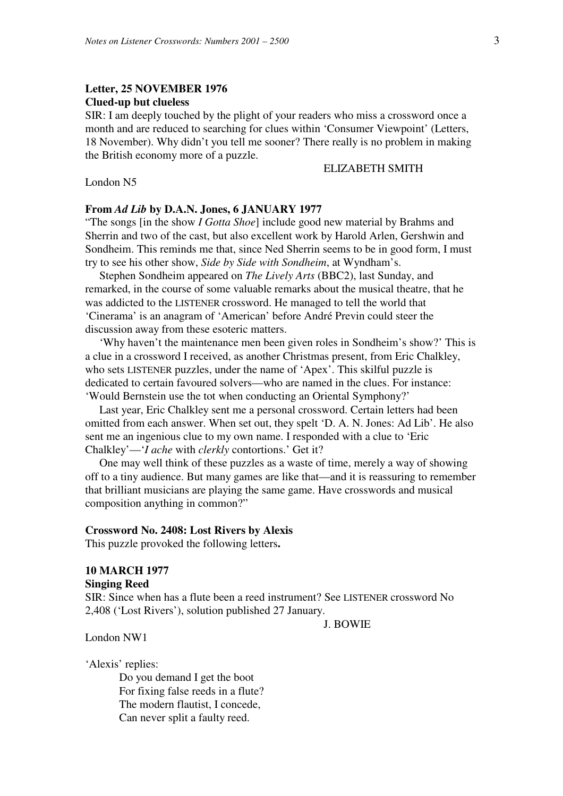# **Letter, 25 NOVEMBER 1976 Clued-up but clueless**

SIR: I am deeply touched by the plight of your readers who miss a crossword once a month and are reduced to searching for clues within 'Consumer Viewpoint' (Letters, 18 November). Why didn't you tell me sooner? There really is no problem in making the British economy more of a puzzle.

#### ELIZABETH SMITH

London N5

#### **From** *Ad Lib* **by D.A.N. Jones, 6 JANUARY 1977**

"The songs [in the show *I Gotta Shoe*] include good new material by Brahms and Sherrin and two of the cast, but also excellent work by Harold Arlen, Gershwin and Sondheim. This reminds me that, since Ned Sherrin seems to be in good form, I must try to see his other show, *Side by Side with Sondheim*, at Wyndham's.

 Stephen Sondheim appeared on *The Lively Arts* (BBC2), last Sunday, and remarked, in the course of some valuable remarks about the musical theatre, that he was addicted to the LISTENER crossword. He managed to tell the world that 'Cinerama' is an anagram of 'American' before André Previn could steer the discussion away from these esoteric matters.

 'Why haven't the maintenance men been given roles in Sondheim's show?' This is a clue in a crossword I received, as another Christmas present, from Eric Chalkley, who sets LISTENER puzzles, under the name of 'Apex'. This skilful puzzle is dedicated to certain favoured solvers—who are named in the clues. For instance: 'Would Bernstein use the tot when conducting an Oriental Symphony?'

 Last year, Eric Chalkley sent me a personal crossword. Certain letters had been omitted from each answer. When set out, they spelt 'D. A. N. Jones: Ad Lib'. He also sent me an ingenious clue to my own name. I responded with a clue to 'Eric Chalkley'—'*I ache* with *clerkly* contortions.' Get it?

 One may well think of these puzzles as a waste of time, merely a way of showing off to a tiny audience. But many games are like that—and it is reassuring to remember that brilliant musicians are playing the same game. Have crosswords and musical composition anything in common?"

#### **Crossword No. 2408: Lost Rivers by Alexis**

This puzzle provoked the following letters**.** 

### **10 MARCH 1977 Singing Reed**

SIR: Since when has a flute been a reed instrument? See LISTENER crossword No 2,408 ('Lost Rivers'), solution published 27 January.

J. BOWIE

London NW1

'Alexis' replies:

 Do you demand I get the boot For fixing false reeds in a flute? The modern flautist, I concede, Can never split a faulty reed.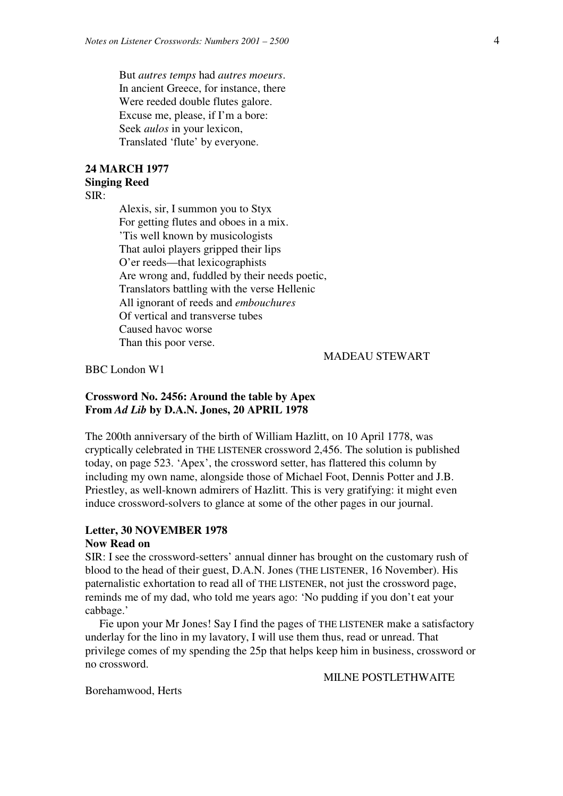But *autres temps* had *autres moeurs*. In ancient Greece, for instance, there Were reeded double flutes galore. Excuse me, please, if I'm a bore: Seek *aulos* in your lexicon, Translated 'flute' by everyone.

### **24 MARCH 1977 Singing Reed**

SIR:

 Alexis, sir, I summon you to Styx For getting flutes and oboes in a mix. 'Tis well known by musicologists That auloi players gripped their lips O'er reeds—that lexicographists Are wrong and, fuddled by their needs poetic, Translators battling with the verse Hellenic All ignorant of reeds and *embouchures* Of vertical and transverse tubes Caused havoc worse Than this poor verse.

MADEAU STEWART

BBC London W1

# **Crossword No. 2456: Around the table by Apex From** *Ad Lib* **by D.A.N. Jones, 20 APRIL 1978**

The 200th anniversary of the birth of William Hazlitt, on 10 April 1778, was cryptically celebrated in THE LISTENER crossword 2,456. The solution is published today, on page 523. 'Apex', the crossword setter, has flattered this column by including my own name, alongside those of Michael Foot, Dennis Potter and J.B. Priestley, as well-known admirers of Hazlitt. This is very gratifying: it might even induce crossword-solvers to glance at some of the other pages in our journal.

### **Letter, 30 NOVEMBER 1978**

## **Now Read on**

SIR: I see the crossword-setters' annual dinner has brought on the customary rush of blood to the head of their guest, D.A.N. Jones (THE LISTENER, 16 November). His paternalistic exhortation to read all of THE LISTENER, not just the crossword page, reminds me of my dad, who told me years ago: 'No pudding if you don't eat your cabbage.'

 Fie upon your Mr Jones! Say I find the pages of THE LISTENER make a satisfactory underlay for the lino in my lavatory, I will use them thus, read or unread. That privilege comes of my spending the 25p that helps keep him in business, crossword or no crossword.

MILNE POSTLETHWAITE

Borehamwood, Herts